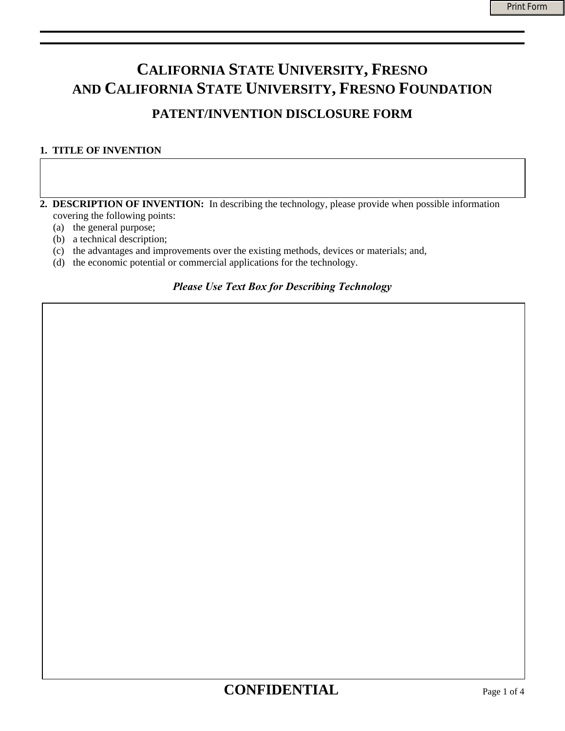# **CALIFORNIA STATE UNIVERSITY, FRESNO AND CALIFORNIA STATE UNIVERSITY, FRESNO FOUNDATION PATENT/INVENTION DISCLOSURE FORM**

## **1. TITLE OF INVENTION**

- **2. DESCRIPTION OF INVENTION:** In describing the technology, please provide when possible information covering the following points:
	- (a) the general purpose;
	- (b) a technical description;
	- (c) the advantages and improvements over the existing methods, devices or materials; and,
	- (d) the economic potential or commercial applications for the technology.

## *Please Use Text Box for Describing Technology*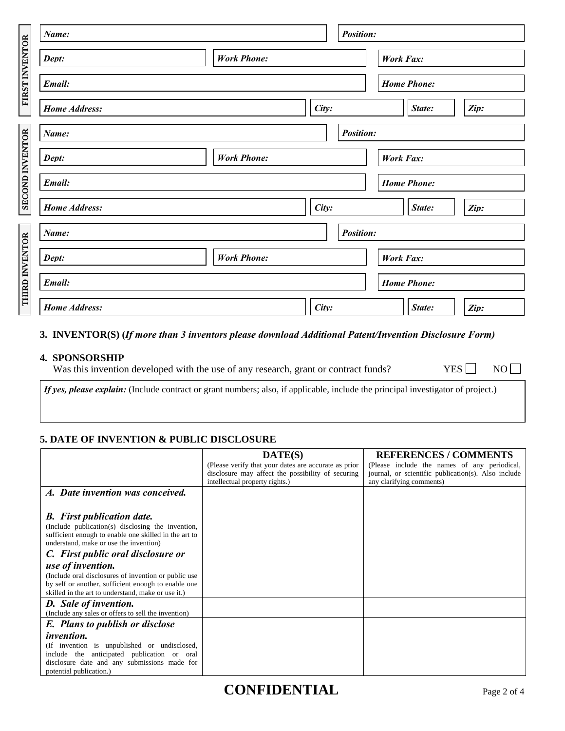| FIRST INVENTOR  | Name:                |                    |  | <b>Position:</b>   |                    |        |      |  |
|-----------------|----------------------|--------------------|--|--------------------|--------------------|--------|------|--|
|                 | Dept:                | <b>Work Phone:</b> |  |                    | <b>Work Fax:</b>   |        |      |  |
|                 | Email:               |                    |  |                    | <b>Home Phone:</b> |        |      |  |
|                 | <b>Home Address:</b> | City:              |  |                    |                    | State: | Zip: |  |
|                 | Name:                |                    |  | <b>Position:</b>   |                    |        |      |  |
|                 | Dept:                | <b>Work Phone:</b> |  |                    | <b>Work Fax:</b>   |        |      |  |
| SECOND INVENTOR | Email:               |                    |  |                    | <b>Home Phone:</b> |        |      |  |
|                 | <b>Home Address:</b> | City:              |  |                    |                    | State: | Zip: |  |
|                 | Name:                |                    |  | <b>Position:</b>   |                    |        |      |  |
|                 | Dept:                | <b>Work Phone:</b> |  |                    | <b>Work Fax:</b>   |        |      |  |
| THIRD INVENTOR  | Email:               |                    |  | <b>Home Phone:</b> |                    |        |      |  |
|                 | <b>Home Address:</b> | City:              |  |                    |                    | State: | Zip: |  |

### **3. INVENTOR(S) (***If more than 3 inventors please download Additional Patent/Invention Disclosure Form)*

### **4. SPONSORSHIP**

Was this invention developed with the use of any research, grant or contract funds? YES  $\Box$  NO  $\Box$ 

*If yes, please explain:* (Include contract or grant numbers; also, if applicable, include the principal investigator of project.)

## **5. DATE OF INVENTION & PUBLIC DISCLOSURE**

|                                                       | DATE(S)                                              | <b>REFERENCES / COMMENTS</b>                        |
|-------------------------------------------------------|------------------------------------------------------|-----------------------------------------------------|
|                                                       | (Please verify that your dates are accurate as prior | (Please include the names of any periodical,        |
|                                                       | disclosure may affect the possibility of securing    | journal, or scientific publication(s). Also include |
|                                                       | intellectual property rights.)                       | any clarifying comments)                            |
| A. Date invention was conceived.                      |                                                      |                                                     |
|                                                       |                                                      |                                                     |
| <b>B.</b> First publication date.                     |                                                      |                                                     |
| (Include publication(s) disclosing the invention,     |                                                      |                                                     |
| sufficient enough to enable one skilled in the art to |                                                      |                                                     |
| understand, make or use the invention)                |                                                      |                                                     |
| C. First public oral disclosure or                    |                                                      |                                                     |
| use of invention.                                     |                                                      |                                                     |
| (Include oral disclosures of invention or public use  |                                                      |                                                     |
| by self or another, sufficient enough to enable one   |                                                      |                                                     |
| skilled in the art to understand, make or use it.)    |                                                      |                                                     |
| <b>D.</b> Sale of invention.                          |                                                      |                                                     |
| (Include any sales or offers to sell the invention)   |                                                      |                                                     |
| E. Plans to publish or disclose                       |                                                      |                                                     |
| <i>invention.</i>                                     |                                                      |                                                     |
| (If invention is unpublished or undisclosed,          |                                                      |                                                     |
| include the anticipated publication or oral           |                                                      |                                                     |
| disclosure date and any submissions made for          |                                                      |                                                     |
| potential publication.)                               |                                                      |                                                     |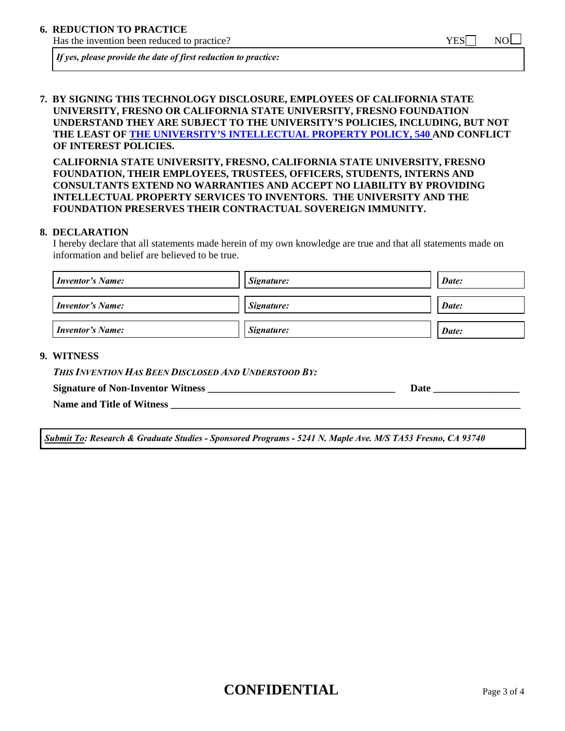Has the invention been reduced to practice?  $YES$  NO  $\Box$ 

*If yes, please provide the date of first reduction to practice:* 

### **7. BY SIGNING THIS TECHNOLOGY DISCLOSURE, EMPLOYEES OF CALIFORNIA STATE UNIVERSITY, FRESNO OR CALIFORNIA STATE UNIVERSITY, FRESNO FOUNDATION UNDERSTAND THEY ARE SUBJECT TO THE UNIVERSITY'S POLICIES, INCLUDING, BUT NOT THE LEAST OF [THE UNIVERSITY'S INTELLECTUAL PROPERTY POLICY, 540 A](http://www.csufresno.edu/aps/forms_policies/apm/documents/540.rev10_08_000.pdf)ND CONFLICT OF INTEREST POLICIES.**

**CALIFORNIA STATE UNIVERSITY, FRESNO, CALIFORNIA STATE UNIVERSITY, FRESNO FOUNDATION, THEIR EMPLOYEES, TRUSTEES, OFFICERS, STUDENTS, INTERNS AND CONSULTANTS EXTEND NO WARRANTIES AND ACCEPT NO LIABILITY BY PROVIDING INTELLECTUAL PROPERTY SERVICES TO INVENTORS. THE UNIVERSITY AND THE FOUNDATION PRESERVES THEIR CONTRACTUAL SOVEREIGN IMMUNITY.** 

#### **8. DECLARATION**

I hereby declare that all statements made herein of my own knowledge are true and that all statements made on information and belief are believed to be true.

| <b>Inventor's Name:</b> | Signature: | Date: |
|-------------------------|------------|-------|
| <b>Inventor's Name:</b> | Signature: | Date: |
| <b>Inventor's Name:</b> | Signature: | Date: |

#### **9. WITNESS**

| This Invention Has Been Disclosed And Understood By: |
|------------------------------------------------------|
|------------------------------------------------------|

**Signature of Non-Inventor Witness \_\_\_\_\_\_\_\_\_\_\_\_\_\_\_\_\_\_\_\_\_\_\_\_\_\_\_\_\_\_\_\_\_\_\_\_\_ Date \_\_\_\_\_\_\_\_\_\_\_\_\_\_\_\_\_** 

**Name and Title of Witness \_\_\_\_\_\_\_\_\_\_\_\_\_\_\_\_\_\_\_\_\_\_\_\_\_\_\_\_\_\_\_\_\_\_\_\_\_\_\_\_\_\_\_\_\_\_\_\_\_\_\_\_\_\_\_\_\_\_\_\_\_\_\_\_\_\_\_\_\_** 

*Submit To: Research & Graduate Studies - Sponsored Programs - 5241 N. Maple Ave. M/S TA53 Fresno, CA 93740* 

# **CONFIDENTIAL** Page 3 of 4